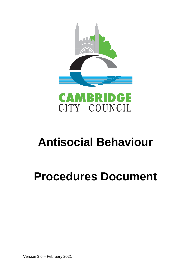



# **Antisocial Behaviour**

# **Procedures Document**

Version 3.6 – February 2021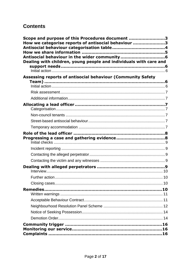# **Contents**

| Scope and purpose of this Procedures document 3                   |  |
|-------------------------------------------------------------------|--|
| How we categorise reports of antisocial behaviour 3               |  |
|                                                                   |  |
|                                                                   |  |
| Dealing with children, young people and individuals with care and |  |
|                                                                   |  |
|                                                                   |  |
| Assessing reports of antisocial behaviour (Community Safety       |  |
|                                                                   |  |
|                                                                   |  |
|                                                                   |  |
|                                                                   |  |
|                                                                   |  |
|                                                                   |  |
|                                                                   |  |
|                                                                   |  |
|                                                                   |  |
|                                                                   |  |
|                                                                   |  |
|                                                                   |  |
|                                                                   |  |
|                                                                   |  |
|                                                                   |  |
|                                                                   |  |
|                                                                   |  |
|                                                                   |  |
|                                                                   |  |
|                                                                   |  |
|                                                                   |  |
|                                                                   |  |
|                                                                   |  |
|                                                                   |  |
|                                                                   |  |
|                                                                   |  |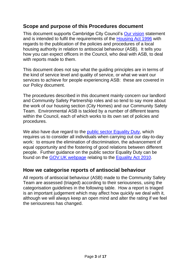## <span id="page-2-0"></span>**Scope and purpose of this Procedures document**

This document supports Cambridge City Council's [Our vision](https://www.cambridge.gov.uk/our-vision) statement and is intended to fulfil the requirements of the [Housing Act 1996](http://www.legislation.gov.uk/ukpga/1996/52/section/218A) with regards to the publication of the policies and procedures of a local housing authority in relation to antisocial behaviour (ASB). It tells you how you can expect officers in the Council, who deal with ASB, to deal with reports made to them.

This document does not say what the guiding principles are in terms of the kind of service level and quality of service, or what we want our services to achieve for people experiencing ASB: these are covered in our Policy document.

The procedures described in this document mainly concern our landlord and Community Safety Partnership roles and so tend to say more about the work of our housing section (City Homes) and our Community Safety Team. Environmental ASB is tackled by a number of different teams within the Council, each of which works to its own set of policies and procedures.

We also have due regard to the [public sector Equality Duty,](http://www.legislation.gov.uk/ukpga/2010/15/section/149) which requires us to consider all individuals when carrying out our day-to-day work: to ensure the elimination of discrimination, the advancement of equal opportunity and the fostering of good relations between different people. Further guidance on the public sector Equality Duty can be found on the [GOV.UK webpage](https://www.gov.uk/guidance/equality-act-2010-guidance#public-sector-equality-duty) relating to the [Equality Act 2010.](http://www.legislation.gov.uk/ukpga/2010/15/contents)

## <span id="page-2-1"></span>**How we categorise reports of antisocial behaviour**

All reports of antisocial behaviour (ASB) made to the Community Safety Team are assessed (triaged) according to their seriousness, using the categorisation guidelines in the following table. How a report is triaged is an important judgement which may affect how quickly we deal with it, although we will always keep an open mind and alter the rating if we feel the seriousness has changed.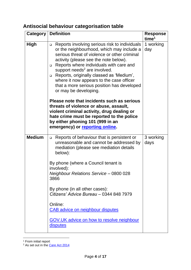# <span id="page-3-0"></span>**Antisocial behaviour categorisation table**

|               | <b>Category   Definition</b>                                                                                                                                                                                                                                                                                                                                                                                                                                            | <b>Response</b><br>time <sup>1</sup> |
|---------------|-------------------------------------------------------------------------------------------------------------------------------------------------------------------------------------------------------------------------------------------------------------------------------------------------------------------------------------------------------------------------------------------------------------------------------------------------------------------------|--------------------------------------|
| <b>High</b>   | Reports involving serious risk to individuals<br>$\Box$<br>or the neighbourhood, which may include a<br>serious threat of violence or other criminal<br>activity (please see the note below).<br>Reports where individuals with care and<br>$\Box$<br>support needs <sup>2</sup> are involved.<br>Reports, originally classed as 'Medium',<br>$\Box$<br>where it now appears to the case officer<br>that a more serious position has developed<br>or may be developing. | 1 working<br>day                     |
|               | Please note that incidents such as serious<br>threats of violence or abuse, assault,<br>violent criminal activity, drug dealing or<br>hate crime must be reported to the police<br>by either phoning 101 (999 in an<br>emergency) or reporting online.                                                                                                                                                                                                                  |                                      |
| <b>Medium</b> | Reports of behaviour that is persistent or<br>$\Box$<br>unreasonable and cannot be addressed by<br>mediation (please see mediation details<br>below):<br>By phone (where a Council tenant is<br>involved):<br><b>Neighbour Relations Service - 0800 028</b><br>3866                                                                                                                                                                                                     | 3 working<br>days                    |
|               | By phone (in all other cases):<br>Citizens' Advice Bureau - 0344 848 7979<br>Online:<br><b>CAB advice on neighbour disputes</b>                                                                                                                                                                                                                                                                                                                                         |                                      |
|               | <b>GOV.UK advice on how to resolve neighbour</b><br><u>disputes</u>                                                                                                                                                                                                                                                                                                                                                                                                     |                                      |

<sup>1</sup> From initial report

<sup>2</sup> As set out in the [Care Act 2014](http://www.legislation.gov.uk/ukpga/2014/23/contents)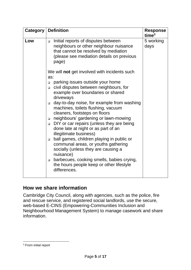| Category | <b>Definition</b>                                                                                                                                                                     | <b>Response</b><br>time <sup>3</sup> |
|----------|---------------------------------------------------------------------------------------------------------------------------------------------------------------------------------------|--------------------------------------|
| Low      | Initial reports of disputes between<br>$\Box$<br>neighbours or other neighbour nuisance<br>that cannot be resolved by mediation<br>(please see mediation details on previous<br>page) | 5 working<br>days                    |
|          | We will not get involved with incidents such<br>as:                                                                                                                                   |                                      |
|          | parking issues outside your home<br>$\Box$                                                                                                                                            |                                      |
|          | civil disputes between neighbours, for<br>$\Box$<br>example over boundaries or shared<br>driveways                                                                                    |                                      |
|          | day-to-day noise, for example from washing<br>$\Box$<br>machines, toilets flushing, vacuum<br>cleaners, footsteps on floors                                                           |                                      |
|          | neighbours' gardening or lawn-mowing<br>DIY or car repairs (unless they are being<br>$\Box$<br>done late at night or as part of an<br>illegitimate business)                          |                                      |
|          | ball games, children playing in public or<br>$\Box$<br>communal areas, or youths gathering<br>socially (unless they are causing a<br>nuisance)                                        |                                      |
|          | barbecues, cooking smells, babies crying,<br>$\Box$<br>the hours people keep or other lifestyle<br>differences.                                                                       |                                      |

## <span id="page-4-0"></span>**How we share information**

Cambridge City Council, along with agencies, such as the police, fire and rescue service, and registered social landlords, use the secure, web-based E-CINS (Empowering-Communities Inclusion and Neighbourhood Management System) to manage casework and share information.

<sup>&</sup>lt;sup>3</sup> From initial report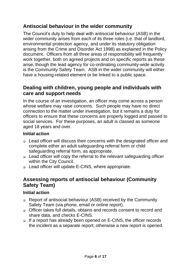# <span id="page-5-0"></span>**Antisocial behaviour in the wider community**

The Council's duty to help deal with antisocial behaviour (ASB) in the wider community arises from each of its three roles (i.e. that of landlord, environmental protection agency, and under its statutory obligation arising from the Crime and Disorder Act 1998) as explained in the Policy document. Officers from all three areas of responsibility will frequently work together, both on agreed projects and on specific reports as these arise, though the lead agency for co-ordinating community-wide activity is the Community Safety Team. ASB in the wider community will either have a housing-related element or be linked to a public space.

## <span id="page-5-1"></span>**Dealing with children, young people and individuals with care and support needs**

In the course of an investigation, an officer may come across a person whose welfare may raise concerns. Such people may have no direct connection to the matter under investigation, but it remains a duty for officers to ensure that these concerns are properly logged and passed to social services. For these purposes, an adult is classed as someone aged 18 years and over.

#### <span id="page-5-2"></span>**Initial action**

- ❑ Lead officer will discuss their concerns with the designated officer and complete either an adult safeguarding referral form or child safeguarding referral form, as appropriate.
- ❑ Lead officer will copy the referral to the relevant safeguarding officer within the City Council.
- ❑ Lead officer will update E-CINS, where appropriate.

## <span id="page-5-3"></span>**Assessing reports of antisocial behaviour (Community Safety Team)**

#### <span id="page-5-4"></span>**Initial action**

- ❑ Report of antisocial behaviour (ASB) received by the Community Safety Team (via phone, email or online report).
- ❑ Officer takes full details, obtains and records consent to record and share data, and checks E-CINS.
- ❑ If a report has already been opened on E-CINS, the officer records the incident as a separate report; otherwise a new report is opened.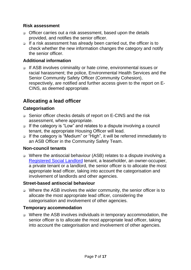#### <span id="page-6-0"></span>**Risk assessment**

- ❑ Officer carries out a risk assessment, based upon the details provided, and notifies the senior officer.
- ❑ If a risk assessment has already been carried out, the officer is to check whether the new information changes the category and notify the senior officer.

#### <span id="page-6-1"></span>**Additional information**

❑ If ASB involves criminality or hate crime, environmental issues or racial harassment; the police, Environmental Health Services and the Senior Community Safety Officer (Community Cohesion), respectively, are notified and further access given to the report on E-CINS, as deemed appropriate.

# <span id="page-6-2"></span>**Allocating a lead officer**

#### <span id="page-6-3"></span>**Categorisation**

- ❑ Senior officer checks details of report on E-CINS and the risk assessment, where appropriate.
- ❑ If the category is "Low" and relates to a dispute involving a council tenant, the appropriate Housing Officer will lead.
- ❑ If the category is "Medium" or "High", it will be referred immediately to an ASB Officer in the Community Safety Team.

#### <span id="page-6-4"></span>**Non-council tenants**

❑ Where the antisocial behaviour (ASB) relates to a dispute involving a [Registered Social Landlord](https://www.gov.uk/government/publications/current-registered-providers-of-social-housing) tenant, a leaseholder, an owner-occupier, a private tenant or a landlord, the senior officer is to allocate the most appropriate lead officer, taking into account the categorisation and involvement of landlords and other agencies.

#### <span id="page-6-5"></span>**Street-based antisocial behaviour**

❑ Where the ASB involves the wider community, the senior officer is to allocate the most appropriate lead officer, considering the categorisation and involvement of other agencies.

#### <span id="page-6-6"></span>**Temporary accommodation**

❑ Where the ASB involves individuals in temporary accommodation, the senior officer is to allocate the most appropriate lead officer, taking into account the categorisation and involvement of other agencies.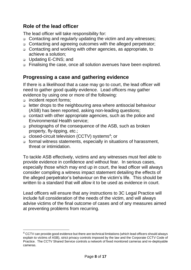# <span id="page-7-0"></span>**Role of the lead officer**

The lead officer will take responsibility for:

- ❑ Contacting and regularly updating the victim and any witnesses;
- ❑ Contacting and agreeing outcomes with the alleged perpetrator;
- ❑ Contacting and working with other agencies, as appropriate, to achieve a solution;
- ❑ Updating E-CINS; and
- ❑ Finalising the case, once all solution avenues have been explored.

# <span id="page-7-1"></span>**Progressing a case and gathering evidence**

If there is a likelihood that a case may go to court, the lead officer will need to gather good quality evidence. Lead officers may gather evidence by using one or more of the following:

- ❑ incident report forms;
- ❑ letter drops to the neighbouring area where antisocial behaviour (ASB) has been reported, asking non-leading questions;
- ❑ contact with other appropriate agencies, such as the police and Environmental Health service;
- ❑ photographs of the consequence of the ASB, such as broken property, fly-tipping, etc.;
- ❑ closed-circuit television (CCTV) systems<sup>4</sup> ; or
- ❑ formal witness statements, especially in situations of harassment, threat or intimidation.

To tackle ASB effectively, victims and any witnesses must feel able to provide evidence in confidence and without fear. In serious cases, especially those which may end up in court, the lead officer will always consider compiling a witness impact statement detailing the effects of the alleged perpetrator's behaviour on the victim's life. This should be written to a standard that will allow it to be used as evidence in court.

Lead officers will ensure that any instructions to 3C Legal Practice will include full consideration of the needs of the victim, and will always advise victims of the final outcome of cases and of any measures aimed at preventing problems from recurring.

<sup>&</sup>lt;sup>4</sup> CCTV can provide good evidence but there are technical limitations (which lead officers should always explain to victims of ASB), strict privacy controls imposed by the law and the Corporate CCTV Code of Practice. The CCTV Shared Service controls a network of fixed monitored cameras and re-deployable cameras.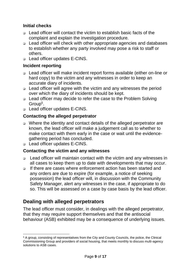### <span id="page-8-0"></span>**Initial checks**

- ❑ Lead officer will contact the victim to establish basic facts of the complaint and explain the investigation procedure.
- ❑ Lead officer will check with other appropriate agencies and databases to establish whether any party involved may pose a risk to staff or others.
- ❑ Lead officer updates E-CINS.

### <span id="page-8-1"></span>**Incident reporting**

- ❑ Lead officer will make incident report forms available (either on-line or hard copy) to the victim and any witnesses in order to keep an accurate diary of incidents.
- ❑ Lead officer will agree with the victim and any witnesses the period over which the diary of incidents should be kept.
- ❑ Lead officer may decide to refer the case to the Problem Solving Group<sup>5</sup> .
- ❑ Lead officer updates E-CINS.

## <span id="page-8-2"></span>**Contacting the alleged perpetrator**

- ❑ Where the identity and contact details of the alleged perpetrator are known, the lead officer will make a judgement call as to whether to make contact with them early in the case or wait until the evidencegathering period has concluded.
- ❑ Lead officer updates E-CINS.

### <span id="page-8-3"></span>**Contacting the victim and any witnesses**

- ❑ Lead officer will maintain contact with the victim and any witnesses in all cases to keep them up to date with developments that may occur.
- ❑ If there are cases where enforcement action has been started and any orders are due to expire (for example, a notice of seeking possession) the lead officer will, in discussion with the Community Safety Manager, alert any witnesses in the case, if appropriate to do so. This will be assessed on a case by case basis by the lead officer.

# <span id="page-8-4"></span>**Dealing with alleged perpetrators**

The lead officer must consider, in dealings with the alleged perpetrator, that they may require support themselves and that the antisocial behaviour (ASB) exhibited may be a consequence of underlying issues.

<sup>5</sup> A group, consisting of representatives from the City and County Councils, the police, the Clinical Commissioning Group and providers of social housing, that meets monthly to discuss multi-agency solutions to ASB cases.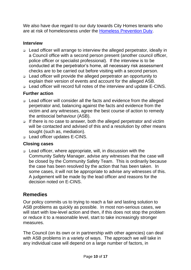We also have due regard to our duty towards City Homes tenants who are at risk of homelessness under the [Homeless Prevention Duty.](https://www.gov.uk/guidance/homelessness-code-of-guidance-for-local-authorities/chapter-12-duty-in-cases-of-threatened-homelessness-the-prevention-duty)

## <span id="page-9-0"></span>**Interview**

- ❑ Lead officer will arrange to interview the alleged perpetrator, ideally in a Council office with a second person present (another council officer, police officer or specialist professional). If the interview is to be conducted at the perpetrator's home, all necessary risk assessment checks are to be carried out before visiting with a second person.
- ❑ Lead officer will provide the alleged perpetrator an opportunity to explain their version of events and account for the alleged ASB.
- ❑ Lead officer will record full notes of the interview and update E-CINS.

## <span id="page-9-1"></span>**Further action**

- ❑ Lead officer will consider all the facts and evidence from the alleged perpetrator and, balancing against the facts and evidence from the victim and any witnesses, agree the best course of action to remedy the antisocial behaviour (ASB).
- ❑ If there is no case to answer, both the alleged perpetrator and victim will be contacted and advised of this and a resolution by other means sought (such as, mediation).
- ❑ Lead officer updates E-CINS.

### <span id="page-9-2"></span>**Closing cases**

❑ Lead officer, where appropriate, will, in discussion with the Community Safety Manager, advise any witnesses that the case will be closed by the Community Safety Team. This is ordinarily because the case has been resolved by the action that has been taken. In some cases, it will not be appropriate to advise any witnesses of this. A judgement will be made by the lead officer and reasons for the decision noted on E-CINS.

## <span id="page-9-3"></span>**Remedies**

Our policy commits us to trying to reach a fair and lasting solution to ASB problems as quickly as possible. In most non-serious cases, we will start with low-level action and then, if this does not stop the problem or reduce it to a reasonable level, start to take increasingly stronger measures.

The Council (on its own or in partnership with other agencies) can deal with ASB problems in a variety of ways. The approach we will take in any individual case will depend on a large number of factors, in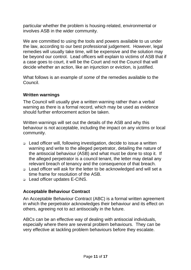particular whether the problem is housing-related, environmental or involves ASB in the wider community.

We are committed to using the tools and powers available to us under the law, according to our best professional judgement. However, legal remedies will usually take time, will be expensive and the solution may be beyond our control. Lead officers will explain to victims of ASB that if a case goes to court, it will be the Court and not the Council that will decide whether an action, like an injunction or eviction, is justified.

What follows is an example of *some* of the remedies available to the Council.

#### <span id="page-10-0"></span>**Written warnings**

The Council will usually give a written warning rather than a verbal warning as there is a formal record, which may be used as evidence should further enforcement action be taken.

Written warnings will set out the details of the ASB and why this behaviour is not acceptable, including the impact on any victims or local community.

- ❑ Lead officer will, following investigation, decide to issue a written warning and write to the alleged perpetrator, detailing the nature of the antisocial behaviour (ASB) and what must be done to stop it. If the alleged perpetrator is a council tenant, the letter may detail any relevant breach of tenancy and the consequence of that breach.
- ❑ Lead officer will ask for the letter to be acknowledged and will set a time frame for resolution of the ASB.
- ❑ Lead officer updates E-CINS.

### <span id="page-10-1"></span>**Acceptable Behaviour Contract**

An Acceptable Behaviour Contract (ABC) is a formal written agreement in which the perpetrator acknowledges their behaviour and its effect on others, agreeing not to act antisocially in the future.

ABCs can be an effective way of dealing with antisocial individuals, especially where there are several problem behaviours. They can be very effective at tackling problem behaviours before they escalate.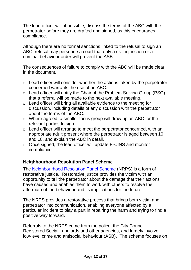The lead officer will, if possible, discuss the terms of the ABC with the perpetrator before they are drafted and signed, as this encourages compliance.

Although there are no formal sanctions linked to the refusal to sign an ABC, refusal may persuade a court that only a civil injunction or a criminal behaviour order will prevent the ASB.

The consequences of failure to comply with the ABC will be made clear in the document.

- ❑ Lead officer will consider whether the actions taken by the perpetrator concerned warrants the use of an ABC.
- ❑ Lead officer will notify the Chair of the Problem Solving Group (PSG) that a referral will be made to the next available meeting.
- ❑ Lead officer will bring all available evidence to the meeting for discussion, including details of any discussion with the perpetrator about the terms of the ABC.
- ❑ Where agreed, a smaller focus group will draw up an ABC for the relevant parties to sign.
- ❑ Lead officer will arrange to meet the perpetrator concerned, with an appropriate adult present where the perpetrator is aged between 10 and 18, and explain the ABC in detail.
- ❑ Once signed, the lead officer will update E-CINS and monitor compliance.

### <span id="page-11-0"></span>**Neighbourhood Resolution Panel Scheme**

The [Neighbourhood Resolution Panel Scheme](https://www.cambridge.gov.uk/neighbourhood-resolution-panel-scheme) (NRPS) is a form of restorative justice. Restorative justice provides the victim with an opportunity to tell the perpetrator about the damage that their actions have caused and enables them to work with others to resolve the aftermath of the behaviour and its implications for the future.

The NRPS provides a restorative process that brings both victim and perpetrator into communication, enabling everyone affected by a particular incident to play a part in repairing the harm and trying to find a positive way forward.

Referrals to the NRPS come from the police, the City Council, Registered Social Landlords and other agencies, and largely involve low-level crime and antisocial behaviour (ASB). The scheme focuses on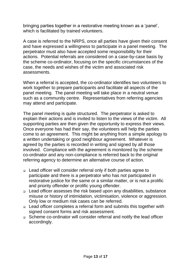bringing parties together in a restorative meeting known as a 'panel', which is facilitated by trained volunteers.

A case is referred to the NRPS, once all parties have given their consent and have expressed a willingness to participate in a panel meeting. The perpetrator must also have accepted some responsibility for their actions. Potential referrals are considered on a case-by-case basis by the scheme co-ordinator, focusing on the specific circumstances of the case, the needs and wishes of the victim and associated risk assessments.

When a referral is accepted, the co-ordinator identifies two volunteers to work together to prepare participants and facilitate all aspects of the panel meeting. The panel meeting will take place in a neutral venue such as a community centre. Representatives from referring agencies may attend and participate.

The panel meeting is quite structured. The perpetrator is asked to explain their actions and is invited to listen to the views of the victim. All supporting parties are then given the opportunity to express their views. Once everyone has had their say, the volunteers will help the parties come to an agreement. This might be anything from a simple apology to a written undertaking or good neighbour agreement. Whatever is agreed by the parties is recorded in writing and signed by all those involved. Compliance with the agreement is monitored by the scheme co-ordinator and any non-compliance is referred back to the original referring agency to determine an alternative course of action.

- ❑ Lead officer will consider referral only if both parties agree to participate and there is a perpetrator who has not participated in restorative justice for the same or a similar matter, or is not a prolific and priority offender or prolific young offender.
- ❑ Lead officer assesses the risk based upon any disabilities, substance misuse or history of intimidation, victimisation, violence or aggression. Only low or medium risk cases can be referred.
- ❑ Lead officer completes a referral form and submits this together with signed consent forms and risk assessment.
- ❑ Scheme co-ordinator will consider referral and notify the lead officer accordingly.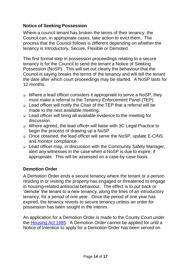### <span id="page-13-0"></span>**Notice of Seeking Possession**

Where a council tenant has broken the terms of their tenancy, the Council can, in appropriate cases, take action to evict them. The process that the Council follows is different depending on whether the tenancy is Introductory, Secure, Flexible or Demoted.

The first formal step in possession proceedings relating to a secure tenancy is for the Council to send the tenant a Notice of Seeking Possession (NoSP). This will set out clearly the behaviour that the Council is saying breaks the terms of the tenancy and will tell the tenant the date after which court proceedings may be started. A NoSP lasts for 12 months.

- ❑ Where a lead officer considers it appropriate to serve a NoSP, they must make a referral to the Tenancy Enforcement Panel (TEP).
- ❑ Lead officer will notify the Chair of the TEP that a referral will be made to the next available meeting.
- ❑ Lead officer will bring all available evidence to the meeting for discussion.
- ❑ Where agreed, the lead officer will liaise with 3C Legal Practice to begin the process of drawing up a NoSP.
- ❑ Once obtained, the lead officer will serve the NoSP, update E-CINS and monitor compliance.
- ❑ Lead officer may, in discussion with the Community Safety Manager, alert any witnesses in the case when a NoSP is due to expire, if appropriate. This will be assessed on a case-by-case basis

## <span id="page-13-1"></span>**Demotion Order**

A Demotion Order ends a secure tenancy where the tenant or a person residing in or visiting the property has engaged or threatened to engage in housing-related antisocial behaviour. The effect is to put back or 'demote' the tenant to a new tenancy, along the lines of an introductory tenancy, for a period of one year. Once the period of one year has expired, the tenancy reverts to secure tenancy unless an order for possession has been sought in the interim.

An application for a Demotion Order is made to the County Court under the [Housing Act 1985.](http://www.legislation.gov.uk/ukpga/1985/68/section/82A) A Demotion Order cannot be applied for until a Notice of Intention to apply for a Demotion Order has been served on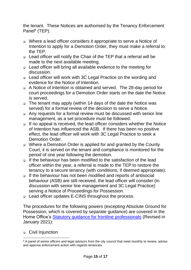the tenant. These Notices are authorised by the Tenancy Enforcement Panel<sup>6</sup> (TEP).

- ❑ Where a lead officer considers it appropriate to serve a Notice of Intention to apply for a Demotion Order, they must make a referral to the TEP.
- ❑ Lead officer will notify the Chair of the TEP that a referral will be made to the next available meeting.
- ❑ Lead officer will bring all available evidence to the meeting for discussion.
- ❑ Lead officer will work with 3C Legal Practice on the wording and evidence for the Notice of Intention.
- ❑ A Notice of Intention is obtained and served. The 28-day period for court proceedings for a Demotion Order starts on the date the Notice is served.
- ❑ The tenant may apply (within 14 days of the date the Notice was served) for a formal review of the decision to serve a Notice.
- ❑ Any requests for a formal review must be discussed with senior line management, as a set procedure must be followed.
- ❑ If no appeal is received, the lead officer considers whether the Notice of Intention has influenced the ASB. If there has been no positive effect, the lead officer will work with 3C Legal Practice to seek a Demotion Order.
- ❑ Where a Demotion Order is applied for and granted by the County Court, it is served on the tenant and compliance is monitored for the period of one year following the demotion.
- ❑ If the behaviour has been modified to the satisfaction of the lead officer within the year, a referral is made to the TEP to restore the tenancy to a secure tenancy (with conditions, if deemed appropriate).
- ❑ If the behaviour has not been modified and reports of antisocial behaviour (ASB) are still received, the lead officer will consider (in discussion with senior line management and 3C Legal Practice) serving a Notice of Proceedings for Possession.
- ❑ Lead officer updates E-CINS throughout the process.

The procedures for the following powers (excepting Absolute Ground for Possession, which is covered by separate guidance) are covered in the Home Office's [Statutory guidance for frontline professionals](https://assets.publishing.service.gov.uk/government/uploads/system/uploads/attachment_data/file/956143/ASB_Statutory_Guidance.pdf) (Revised in January 2021):

### ❑ Civil Injunction

<sup>&</sup>lt;sup>6</sup> A panel of senior officers and legal advisors from the city council that meet monthly to review, advise and approve enforcement action with regards tenancies.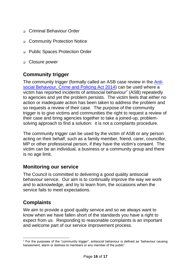- □ Criminal Behaviour Order
- ❑ Community Protection Notice
- ❑ Public Spaces Protection Order
- ❑ Closure power

## <span id="page-15-0"></span>**Community trigger**

The community trigger (formally called an ASB case review in the [Anti](http://www.legislation.gov.uk/ukpga/2014/12/part/6/enacted)[social Behaviour, Crime and Policing Act 2014\)](http://www.legislation.gov.uk/ukpga/2014/12/part/6/enacted) can be used where a victim has reported incidents of antisocial behaviour<sup>7</sup> (ASB) repeatedly to agencies and yet the problem persists. The victim feels that either no action or inadequate action has been taken to address the problem and so requests a review of their case. The purpose of the community trigger is to give victims and communities the right to request a review of their case and bring agencies together to take a joined-up, problemsolving approach to find a solution: it is not a complaints procedure.

The community trigger can be used by the victim of ASB or any person acting on their behalf, such as a family member, friend, carer, councillor, MP or other professional person, if they have the victim's consent. The victim can be an individual, a business or a community group and there is no age limit.

## <span id="page-15-1"></span>**Monitoring our service**

The Council is committed to delivering a good quality antisocial behaviour service. Our aim is to continually improve the way we work and to acknowledge, and try to learn from, the occasions when the service fails to meet expectations.

# <span id="page-15-2"></span>**Complaints**

We aim to provide a good quality service and so we always want to know when we have fallen short of the standards you have a right to expect from us. Responding to reasonable complaints is an important and welcome part of our service improvement process.

 $7$  For the purposes of the "community trigger", antisocial behaviour is defined as "behaviour causing harassment, alarm or distress to members or any member of the public".